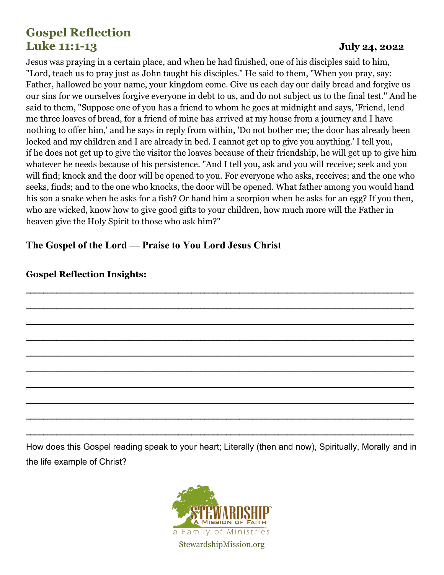# **Gospel Reflection Luke 11:1-13 July 24, 2022**

Jesus was praying in a certain place, and when he had finished, one of his disciples said to him, "Lord, teach us to pray just as John taught his disciples." He said to them, "When you pray, say: Father, hallowed be your name, your kingdom come. Give us each day our daily bread and forgive us our sins for we ourselves forgive everyone in debt to us, and do not subject us to the final test." And he said to them, "Suppose one of you has a friend to whom he goes at midnight and says, 'Friend, lend me three loaves of bread, for a friend of mine has arrived at my house from a journey and I have nothing to offer him,' and he says in reply from within, 'Do not bother me; the door has already been locked and my children and I are already in bed. I cannot get up to give you anything.' I tell you, if he does not get up to give the visitor the loaves because of their friendship, he will get up to give him whatever he needs because of his persistence. "And I tell you, ask and you will receive; seek and you will find; knock and the door will be opened to you. For everyone who asks, receives; and the one who seeks, finds; and to the one who knocks, the door will be opened. What father among you would hand his son a snake when he asks for a fish? Or hand him a scorpion when he asks for an egg? If you then, who are wicked, know how to give good gifts to your children, how much more will the Father in heaven give the Holy Spirit to those who ask him?"

\_\_\_\_\_\_\_\_\_\_\_\_\_\_\_\_\_\_\_\_\_\_\_\_\_\_\_\_\_\_\_\_\_\_\_\_\_\_\_\_\_\_\_\_\_\_\_\_\_\_\_\_\_\_\_\_\_\_\_\_\_\_\_\_\_\_\_\_\_\_\_\_\_\_\_\_\_\_\_\_\_\_\_\_\_\_\_\_\_

\_\_\_\_\_\_\_\_\_\_\_\_\_\_\_\_\_\_\_\_\_\_\_\_\_\_\_\_\_\_\_\_\_\_\_\_\_\_\_\_\_\_\_\_\_\_\_\_\_\_\_\_\_\_\_\_\_\_\_\_\_\_\_\_\_\_\_\_\_\_\_\_\_\_\_\_\_\_\_\_\_\_\_\_\_\_\_\_\_

\_\_\_\_\_\_\_\_\_\_\_\_\_\_\_\_\_\_\_\_\_\_\_\_\_\_\_\_\_\_\_\_\_\_\_\_\_\_\_\_\_\_\_\_\_\_\_\_\_\_\_\_\_\_\_\_\_\_\_\_\_\_\_\_\_\_\_\_\_\_\_\_\_\_\_\_\_\_\_\_\_\_\_\_\_\_\_\_\_

\_\_\_\_\_\_\_\_\_\_\_\_\_\_\_\_\_\_\_\_\_\_\_\_\_\_\_\_\_\_\_\_\_\_\_\_\_\_\_\_\_\_\_\_\_\_\_\_\_\_\_\_\_\_\_\_\_\_\_\_\_\_\_\_\_\_\_\_\_\_\_\_\_\_\_\_\_\_\_\_\_\_\_\_\_\_\_\_\_

\_\_\_\_\_\_\_\_\_\_\_\_\_\_\_\_\_\_\_\_\_\_\_\_\_\_\_\_\_\_\_\_\_\_\_\_\_\_\_\_\_\_\_\_\_\_\_\_\_\_\_\_\_\_\_\_\_\_\_\_\_\_\_\_\_\_\_\_\_\_\_\_\_\_\_\_\_\_\_\_\_\_\_\_\_\_\_\_\_

\_\_\_\_\_\_\_\_\_\_\_\_\_\_\_\_\_\_\_\_\_\_\_\_\_\_\_\_\_\_\_\_\_\_\_\_\_\_\_\_\_\_\_\_\_\_\_\_\_\_\_\_\_\_\_\_\_\_\_\_\_\_\_\_\_\_\_\_\_\_\_\_\_\_\_\_\_\_\_\_\_\_\_\_\_\_\_\_\_

\_\_\_\_\_\_\_\_\_\_\_\_\_\_\_\_\_\_\_\_\_\_\_\_\_\_\_\_\_\_\_\_\_\_\_\_\_\_\_\_\_\_\_\_\_\_\_\_\_\_\_\_\_\_\_\_\_\_\_\_\_\_\_\_\_\_\_\_\_\_\_\_\_\_\_\_\_\_\_\_\_\_\_\_\_\_\_\_\_

\_\_\_\_\_\_\_\_\_\_\_\_\_\_\_\_\_\_\_\_\_\_\_\_\_\_\_\_\_\_\_\_\_\_\_\_\_\_\_\_\_\_\_\_\_\_\_\_\_\_\_\_\_\_\_\_\_\_\_\_\_\_\_\_\_\_\_\_\_\_\_\_\_\_\_\_\_\_\_\_\_\_\_\_\_\_\_\_\_

\_\_\_\_\_\_\_\_\_\_\_\_\_\_\_\_\_\_\_\_\_\_\_\_\_\_\_\_\_\_\_\_\_\_\_\_\_\_\_\_\_\_\_\_\_\_\_\_\_\_\_\_\_\_\_\_\_\_\_\_\_\_\_\_\_\_\_\_\_\_\_\_\_\_\_\_\_\_\_\_\_\_\_\_\_\_\_\_\_

\_\_\_\_\_\_\_\_\_\_\_\_\_\_\_\_\_\_\_\_\_\_\_\_\_\_\_\_\_\_\_\_\_\_\_\_\_\_\_\_\_\_\_\_\_\_\_\_\_\_\_\_\_\_\_\_\_\_\_\_\_\_\_\_\_\_\_\_\_\_\_\_\_\_\_\_\_\_\_\_\_\_\_\_\_\_\_\_\_

# **The Gospel of the Lord — Praise to You Lord Jesus Christ**

## **Gospel Reflection Insights:**

How does this Gospel reading speak to your heart; Literally (then and now), Spiritually, Morally and in the life example of Christ?